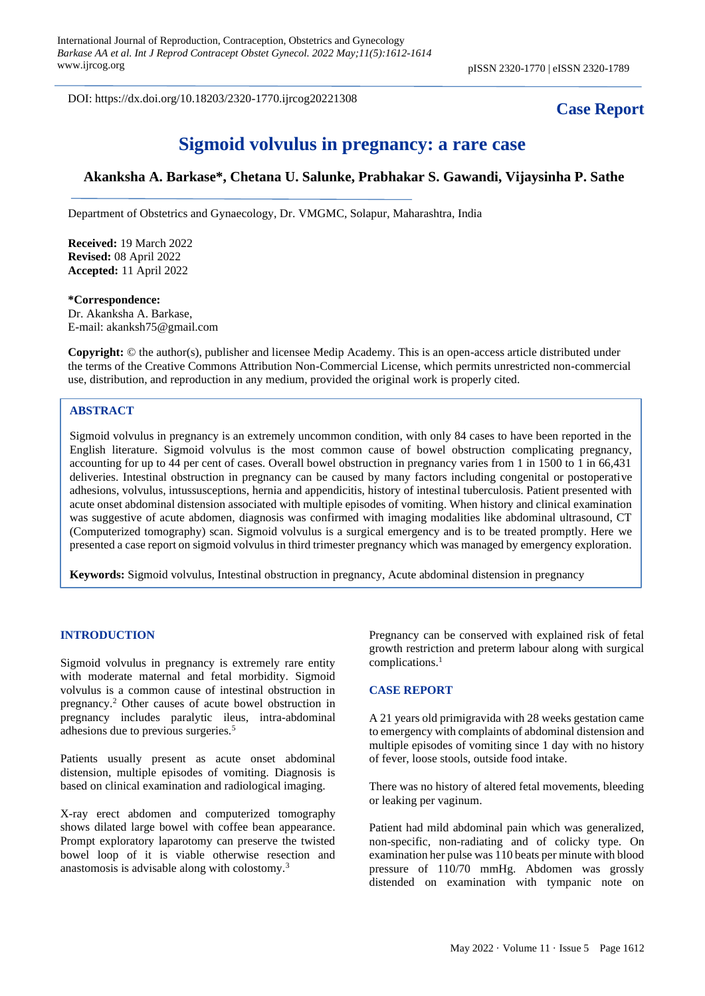DOI: https://dx.doi.org/10.18203/2320-1770.ijrcog20221308

## **Case Report**

# **Sigmoid volvulus in pregnancy: a rare case**

### **Akanksha A. Barkase\*, Chetana U. Salunke, Prabhakar S. Gawandi, Vijaysinha P. Sathe**

Department of Obstetrics and Gynaecology, Dr. VMGMC, Solapur, Maharashtra, India

**Received:** 19 March 2022 **Revised:** 08 April 2022 **Accepted:** 11 April 2022

**\*Correspondence:** Dr. Akanksha A. Barkase, E-mail: akanksh75@gmail.com

**Copyright:** © the author(s), publisher and licensee Medip Academy. This is an open-access article distributed under the terms of the Creative Commons Attribution Non-Commercial License, which permits unrestricted non-commercial use, distribution, and reproduction in any medium, provided the original work is properly cited.

#### **ABSTRACT**

Sigmoid volvulus in pregnancy is an extremely uncommon condition, with only 84 cases to have been reported in the English literature. Sigmoid volvulus is the most common cause of bowel obstruction complicating pregnancy, accounting for up to 44 per cent of cases. Overall bowel obstruction in pregnancy varies from 1 in 1500 to 1 in 66,431 deliveries. Intestinal obstruction in pregnancy can be caused by many factors including congenital or postoperative adhesions, volvulus, intussusceptions, hernia and appendicitis, history of intestinal tuberculosis. Patient presented with acute onset abdominal distension associated with multiple episodes of vomiting. When history and clinical examination was suggestive of acute abdomen, diagnosis was confirmed with imaging modalities like abdominal ultrasound, CT (Computerized tomography) scan. Sigmoid volvulus is a surgical emergency and is to be treated promptly. Here we presented a case report on sigmoid volvulus in third trimester pregnancy which was managed by emergency exploration.

**Keywords:** Sigmoid volvulus, Intestinal obstruction in pregnancy, Acute abdominal distension in pregnancy

#### **INTRODUCTION**

Sigmoid volvulus in pregnancy is extremely rare entity with moderate maternal and fetal morbidity. Sigmoid volvulus is a common cause of intestinal obstruction in pregnancy.<sup>2</sup> Other causes of acute bowel obstruction in pregnancy includes paralytic ileus, intra-abdominal adhesions due to previous surgeries.<sup>5</sup>

Patients usually present as acute onset abdominal distension, multiple episodes of vomiting. Diagnosis is based on clinical examination and radiological imaging.

X-ray erect abdomen and computerized tomography shows dilated large bowel with coffee bean appearance. Prompt exploratory laparotomy can preserve the twisted bowel loop of it is viable otherwise resection and anastomosis is advisable along with colostomy.<sup>3</sup>

Pregnancy can be conserved with explained risk of fetal growth restriction and preterm labour along with surgical complications.<sup>1</sup>

#### **CASE REPORT**

A 21 years old primigravida with 28 weeks gestation came to emergency with complaints of abdominal distension and multiple episodes of vomiting since 1 day with no history of fever, loose stools, outside food intake.

There was no history of altered fetal movements, bleeding or leaking per vaginum.

Patient had mild abdominal pain which was generalized, non-specific, non-radiating and of colicky type. On examination her pulse was 110 beats per minute with blood pressure of 110/70 mmHg. Abdomen was grossly distended on examination with tympanic note on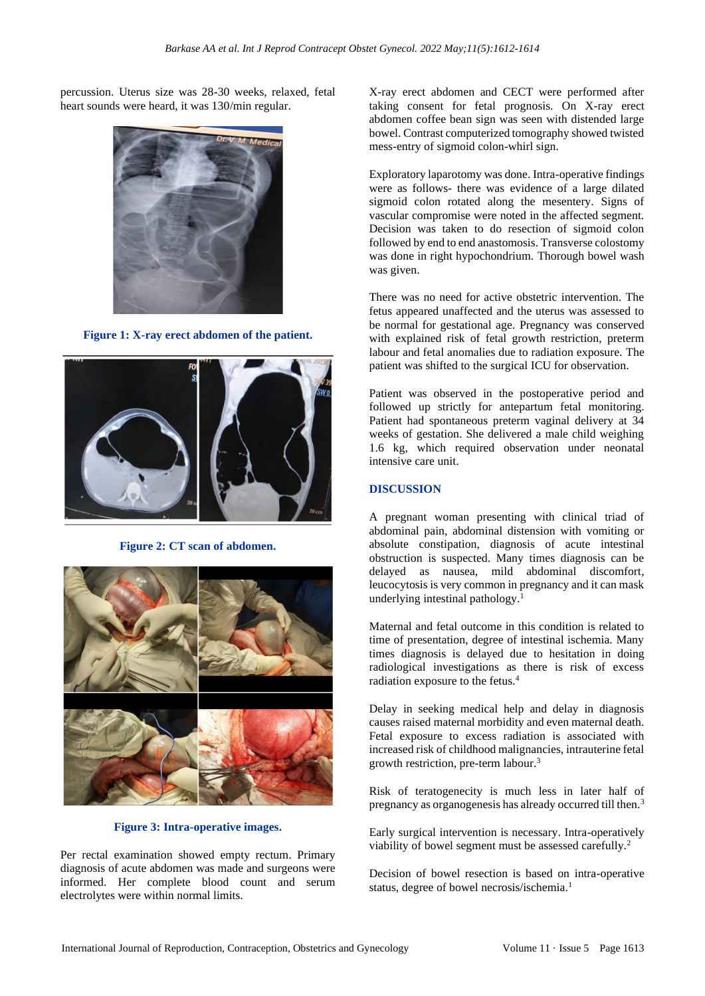percussion. Uterus size was 28-30 weeks, relaxed, fetal heart sounds were heard, it was 130/min regular.



**Figure 1: X-ray erect abdomen of the patient.**



**Figure 2: CT scan of abdomen.**



#### **Figure 3: Intra-operative images.**

Per rectal examination showed empty rectum. Primary diagnosis of acute abdomen was made and surgeons were informed. Her complete blood count and serum electrolytes were within normal limits.

X-ray erect abdomen and CECT were performed after taking consent for fetal prognosis. On X-ray erect abdomen coffee bean sign was seen with distended large bowel. Contrast computerized tomography showed twisted mess-entry of sigmoid colon-whirl sign.

Exploratory laparotomy was done. Intra-operative findings were as follows- there was evidence of a large dilated sigmoid colon rotated along the mesentery. Signs of vascular compromise were noted in the affected segment. Decision was taken to do resection of sigmoid colon followed by end to end anastomosis. Transverse colostomy was done in right hypochondrium. Thorough bowel wash was given.

There was no need for active obstetric intervention. The fetus appeared unaffected and the uterus was assessed to be normal for gestational age. Pregnancy was conserved with explained risk of fetal growth restriction, preterm labour and fetal anomalies due to radiation exposure. The patient was shifted to the surgical ICU for observation.

Patient was observed in the postoperative period and followed up strictly for antepartum fetal monitoring. Patient had spontaneous preterm vaginal delivery at 34 weeks of gestation. She delivered a male child weighing 1.6 kg, which required observation under neonatal intensive care unit.

#### **DISCUSSION**

A pregnant woman presenting with clinical triad of abdominal pain, abdominal distension with vomiting or absolute constipation, diagnosis of acute intestinal obstruction is suspected. Many times diagnosis can be delayed as nausea, mild abdominal discomfort, leucocytosis is very common in pregnancy and it can mask underlying intestinal pathology.<sup>1</sup>

Maternal and fetal outcome in this condition is related to time of presentation, degree of intestinal ischemia. Many times diagnosis is delayed due to hesitation in doing radiological investigations as there is risk of excess radiation exposure to the fetus.<sup>4</sup>

Delay in seeking medical help and delay in diagnosis causes raised maternal morbidity and even maternal death. Fetal exposure to excess radiation is associated with increased risk of childhood malignancies, intrauterine fetal growth restriction, pre-term labour.<sup>3</sup>

Risk of teratogenecity is much less in later half of pregnancy as organogenesis has already occurred till then.<sup>3</sup>

Early surgical intervention is necessary. Intra-operatively viability of bowel segment must be assessed carefully.<sup>2</sup>

Decision of bowel resection is based on intra-operative status, degree of bowel necrosis/ischemia.<sup>1</sup>